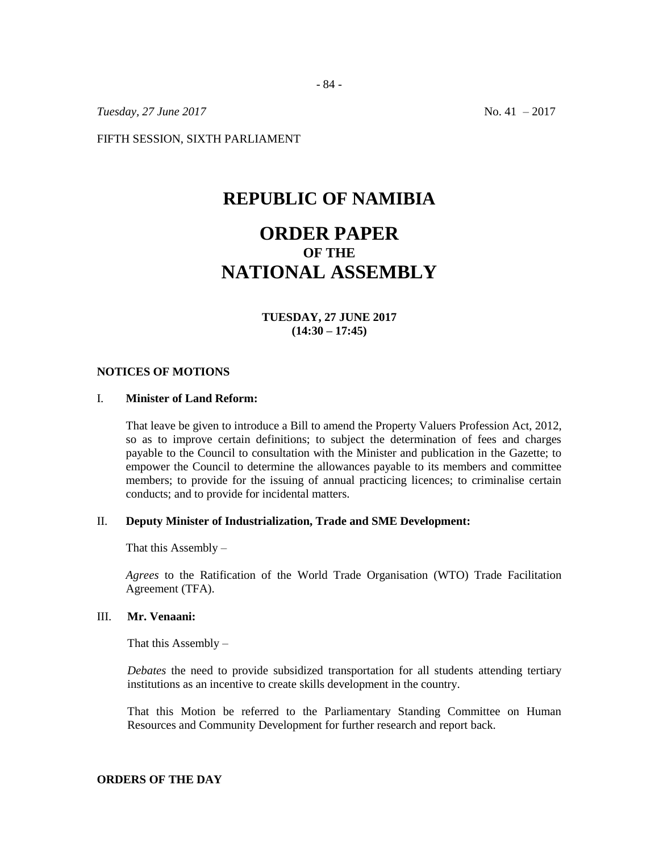*Tuesday, 27 June 2017* No. 41 – 2017

FIFTH SESSION, SIXTH PARLIAMENT

# **REPUBLIC OF NAMIBIA**

- 84 -

# **ORDER PAPER OF THE NATIONAL ASSEMBLY**

**TUESDAY, 27 JUNE 2017 (14:30 – 17:45)**

#### **NOTICES OF MOTIONS**

#### I. **Minister of Land Reform:**

That leave be given to introduce a Bill to amend the Property Valuers Profession Act, 2012, so as to improve certain definitions; to subject the determination of fees and charges payable to the Council to consultation with the Minister and publication in the Gazette; to empower the Council to determine the allowances payable to its members and committee members; to provide for the issuing of annual practicing licences; to criminalise certain conducts; and to provide for incidental matters.

## II. **Deputy Minister of Industrialization, Trade and SME Development:**

That this Assembly  $-$ 

*Agrees* to the Ratification of the World Trade Organisation (WTO) Trade Facilitation Agreement (TFA).

#### III. **Mr. Venaani:**

That this Assembly  $-$ 

*Debates* the need to provide subsidized transportation for all students attending tertiary institutions as an incentive to create skills development in the country.

That this Motion be referred to the Parliamentary Standing Committee on Human Resources and Community Development for further research and report back.

#### **ORDERS OF THE DAY**